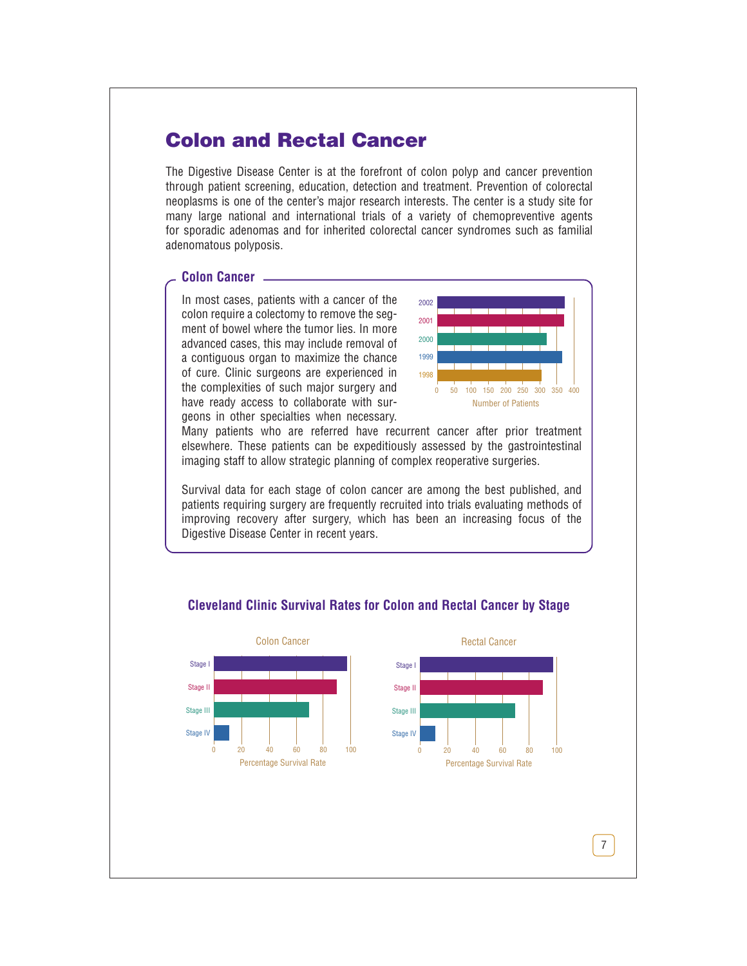# **Colon and Rectal Cancer**

The Digestive Disease Center is at the forefront of colon polyp and cancer prevention through patient screening, education, detection and treatment. Prevention of colorectal neoplasms is one of the center's major research interests. The center is a study site for many large national and international trials of a variety of chemopreventive agents for sporadic adenomas and for inherited colorectal cancer syndromes such as familial adenomatous polyposis.

### **Colon Cancer**

In most cases, patients with a cancer of the colon require a colectomy to remove the segment of bowel where the tumor lies. In more advanced cases, this may include removal of a contiguous organ to maximize the chance of cure. Clinic surgeons are experienced in the complexities of such major surgery and have ready access to collaborate with surgeons in other specialties when necessary.



Many patients who are referred have recurrent cancer after prior treatment elsewhere. These patients can be expeditiously assessed by the gastrointestinal imaging staff to allow strategic planning of complex reoperative surgeries.

Survival data for each stage of colon cancer are among the best published, and patients requiring surgery are frequently recruited into trials evaluating methods of improving recovery after surgery, which has been an increasing focus of the Digestive Disease Center in recent years.



# **Cleveland Clinic Survival Rates for Colon and Rectal Cancer by Stage**

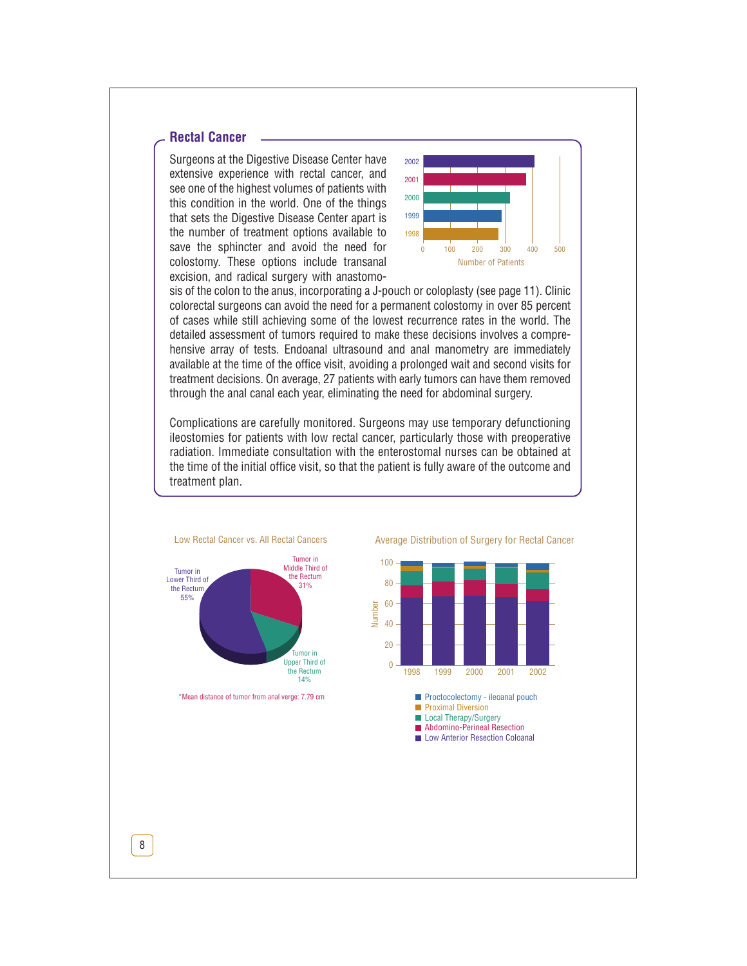# **Rectal Cancer**

Surgeons at the Digestive Disease Center have extensive experience with rectal cancer, and see one of the highest volumes of patients with this condition in the world. One of the things that sets the Digestive Disease Center apart is the number of treatment options available to save the sphincter and avoid the need for colostomy. These options include transanal excision, and radical surgery with anastomo-



sis of the colon to the anus, incorporating a J-pouch or coloplasty (see page 11). Clinic colorectal surgeons can avoid the need for a permanent colostomy in over 85 percent of cases while still achieving some of the lowest recurrence rates in the world. The detailed assessment of tumors required to make these decisions involves a comprehensive array of tests. Endoanal ultrasound and anal manometry are immediately available at the time of the office visit, avoiding a prolonged wait and second visits for treatment decisions. On average, 27 patients with early tumors can have them removed through the anal canal each year, eliminating the need for abdominal surgery.

Complications are carefully monitored. Surgeons may use temporary defunctioning ileostomies for patients with low rectal cancer, particularly those with preoperative radiation. Immediate consultation with the enterostomal nurses can be obtained at the time of the initial office visit, so that the patient is fully aware of the outcome and treatment plan.



\*Mean distance of tumor from anal verge: 7.79 cm

Average Distribution of Surgery for Rectal Cancer

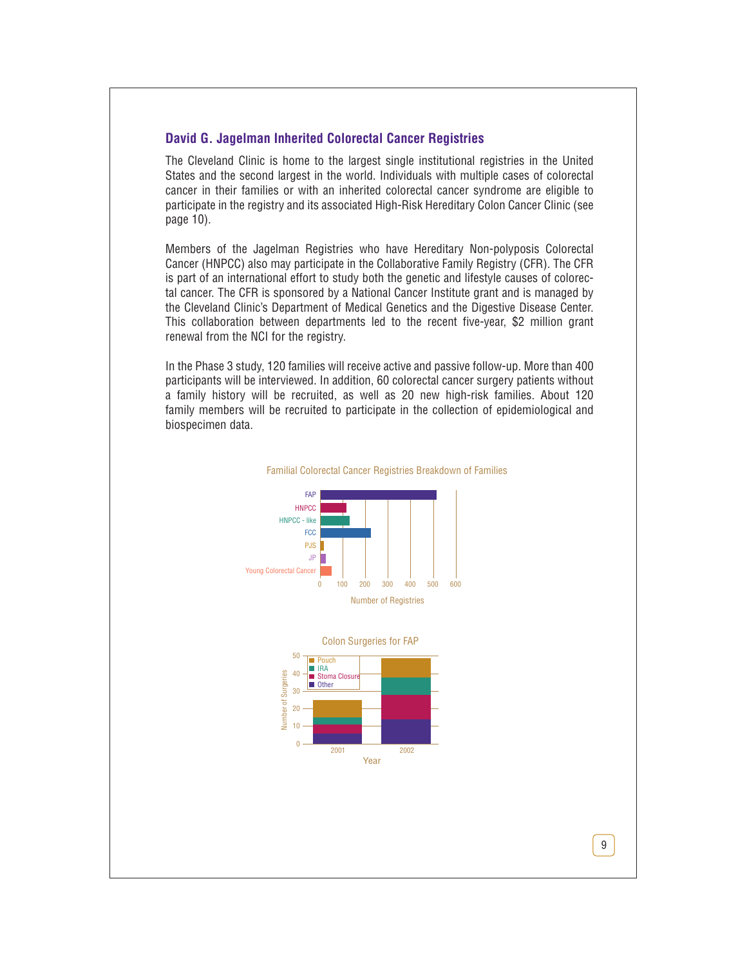# **David G. Jagelman Inherited Colorectal Cancer Registries**

The Cleveland Clinic is home to the largest single institutional registries in the United States and the second largest in the world. Individuals with multiple cases of colorectal cancer in their families or with an inherited colorectal cancer syndrome are eligible to participate in the registry and its associated High-Risk Hereditary Colon Cancer Clinic (see page 10).

Members of the Jagelman Registries who have Hereditary Non-polyposis Colorectal Cancer (HNPCC) also may participate in the Collaborative Family Registry (CFR). The CFR is part of an international effort to study both the genetic and lifestyle causes of colorectal cancer. The CFR is sponsored by a National Cancer Institute grant and is managed by the Cleveland Clinic's Department of Medical Genetics and the Digestive Disease Center. This collaboration between departments led to the recent five-year, \$2 million grant renewal from the NCI for the registry.

In the Phase 3 study, 120 families will receive active and passive follow-up. More than 400 participants will be interviewed. In addition, 60 colorectal cancer surgery patients without a family history will be recruited, as well as 20 new high-risk families. About 120 family members will be recruited to participate in the collection of epidemiological and biospecimen data.



#### Familial Colorectal Cancer Registries Breakdown of Families

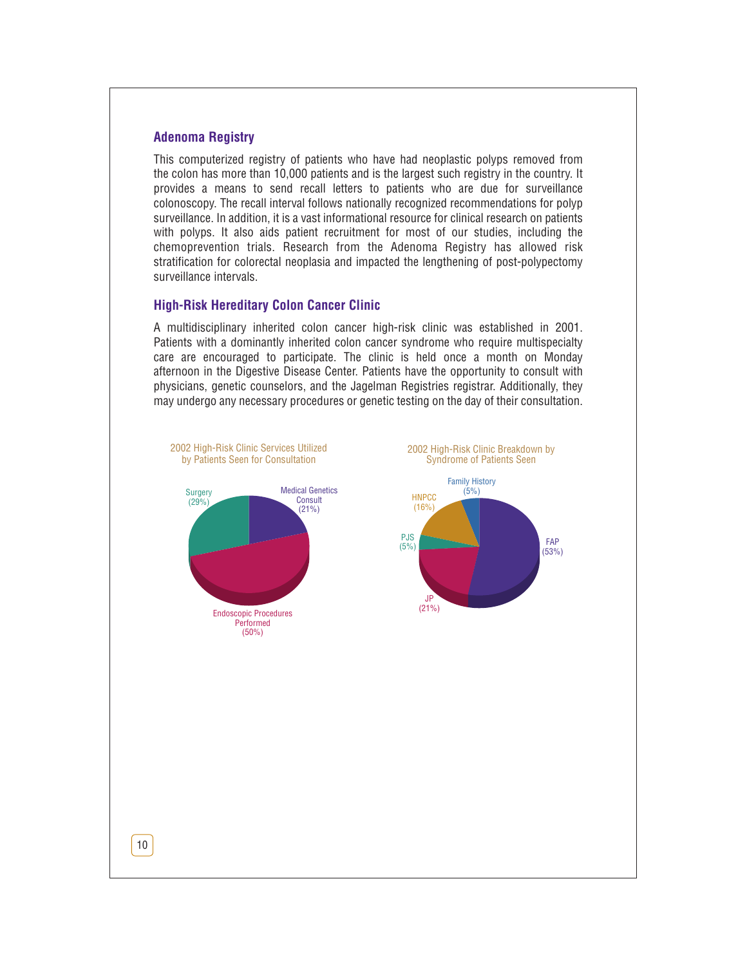# **Adenoma Registry**

This computerized registry of patients who have had neoplastic polyps removed from the colon has more than 10,000 patients and is the largest such registry in the country. It provides a means to send recall letters to patients who are due for surveillance colonoscopy. The recall interval follows nationally recognized recommendations for polyp surveillance. In addition, it is a vast informational resource for clinical research on patients with polyps. It also aids patient recruitment for most of our studies, including the chemoprevention trials. Research from the Adenoma Registry has allowed risk stratification for colorectal neoplasia and impacted the lengthening of post-polypectomy surveillance intervals.

# **High-Risk Hereditary Colon Cancer Clinic**

A multidisciplinary inherited colon cancer high-risk clinic was established in 2001. Patients with a dominantly inherited colon cancer syndrome who require multispecialty care are encouraged to participate. The clinic is held once a month on Monday afternoon in the Digestive Disease Center. Patients have the opportunity to consult with physicians, genetic counselors, and the Jagelman Registries registrar. Additionally, they may undergo any necessary procedures or genetic testing on the day of their consultation.